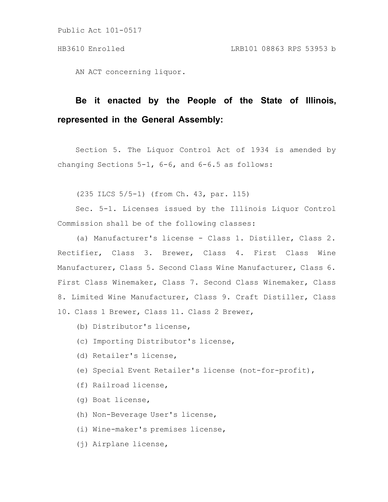AN ACT concerning liquor.

# **Be it enacted by the People of the State of Illinois, represented in the General Assembly:**

Section 5. The Liquor Control Act of 1934 is amended by changing Sections 5-1, 6-6, and 6-6.5 as follows:

(235 ILCS 5/5-1) (from Ch. 43, par. 115)

Sec. 5-1. Licenses issued by the Illinois Liquor Control Commission shall be of the following classes:

(a) Manufacturer's license - Class 1. Distiller, Class 2. Rectifier, Class 3. Brewer, Class 4. First Class Wine Manufacturer, Class 5. Second Class Wine Manufacturer, Class 6. First Class Winemaker, Class 7. Second Class Winemaker, Class 8. Limited Wine Manufacturer, Class 9. Craft Distiller, Class 10. Class 1 Brewer, Class 11. Class 2 Brewer,

- (b) Distributor's license,
- (c) Importing Distributor's license,
- (d) Retailer's license,
- (e) Special Event Retailer's license (not-for-profit),
- (f) Railroad license,
- (g) Boat license,
- (h) Non-Beverage User's license,
- (i) Wine-maker's premises license,
- (j) Airplane license,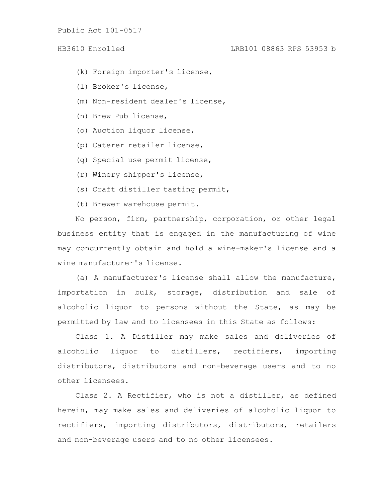# HB3610 Enrolled LRB101 08863 RPS 53953 b

- (k) Foreign importer's license,
- (l) Broker's license,
- (m) Non-resident dealer's license,
- (n) Brew Pub license,
- (o) Auction liquor license,
- (p) Caterer retailer license,
- (q) Special use permit license,
- (r) Winery shipper's license,
- (s) Craft distiller tasting permit,
- (t) Brewer warehouse permit.

No person, firm, partnership, corporation, or other legal business entity that is engaged in the manufacturing of wine may concurrently obtain and hold a wine-maker's license and a wine manufacturer's license.

(a) A manufacturer's license shall allow the manufacture, importation in bulk, storage, distribution and sale of alcoholic liquor to persons without the State, as may be permitted by law and to licensees in this State as follows:

Class 1. A Distiller may make sales and deliveries of alcoholic liquor to distillers, rectifiers, importing distributors, distributors and non-beverage users and to no other licensees.

Class 2. A Rectifier, who is not a distiller, as defined herein, may make sales and deliveries of alcoholic liquor to rectifiers, importing distributors, distributors, retailers and non-beverage users and to no other licensees.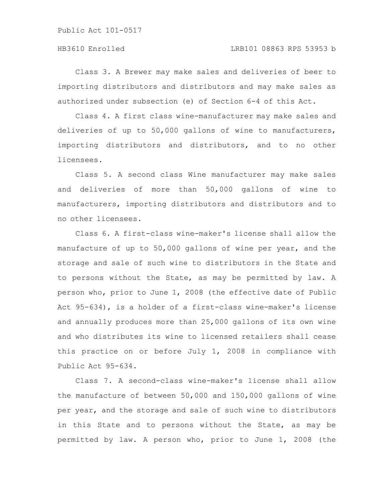# HB3610 Enrolled LRB101 08863 RPS 53953 b

Class 3. A Brewer may make sales and deliveries of beer to importing distributors and distributors and may make sales as authorized under subsection (e) of Section 6-4 of this Act.

Class 4. A first class wine-manufacturer may make sales and deliveries of up to 50,000 gallons of wine to manufacturers, importing distributors and distributors, and to no other licensees.

Class 5. A second class Wine manufacturer may make sales and deliveries of more than 50,000 gallons of wine to manufacturers, importing distributors and distributors and to no other licensees.

Class 6. A first-class wine-maker's license shall allow the manufacture of up to 50,000 gallons of wine per year, and the storage and sale of such wine to distributors in the State and to persons without the State, as may be permitted by law. A person who, prior to June 1, 2008 (the effective date of Public Act 95-634), is a holder of a first-class wine-maker's license and annually produces more than 25,000 gallons of its own wine and who distributes its wine to licensed retailers shall cease this practice on or before July 1, 2008 in compliance with Public Act 95-634.

Class 7. A second-class wine-maker's license shall allow the manufacture of between 50,000 and 150,000 gallons of wine per year, and the storage and sale of such wine to distributors in this State and to persons without the State, as may be permitted by law. A person who, prior to June 1, 2008 (the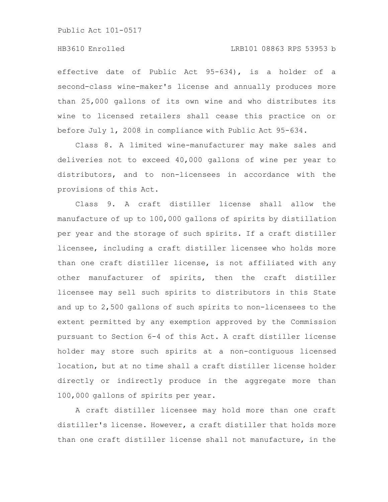#### HB3610 Enrolled LRB101 08863 RPS 53953 b

effective date of Public Act 95-634), is a holder of a second-class wine-maker's license and annually produces more than 25,000 gallons of its own wine and who distributes its wine to licensed retailers shall cease this practice on or before July 1, 2008 in compliance with Public Act 95-634.

Class 8. A limited wine-manufacturer may make sales and deliveries not to exceed 40,000 gallons of wine per year to distributors, and to non-licensees in accordance with the provisions of this Act.

Class 9. A craft distiller license shall allow the manufacture of up to 100,000 gallons of spirits by distillation per year and the storage of such spirits. If a craft distiller licensee, including a craft distiller licensee who holds more than one craft distiller license, is not affiliated with any other manufacturer of spirits, then the craft distiller licensee may sell such spirits to distributors in this State and up to 2,500 gallons of such spirits to non-licensees to the extent permitted by any exemption approved by the Commission pursuant to Section 6-4 of this Act. A craft distiller license holder may store such spirits at a non-contiguous licensed location, but at no time shall a craft distiller license holder directly or indirectly produce in the aggregate more than 100,000 gallons of spirits per year.

A craft distiller licensee may hold more than one craft distiller's license. However, a craft distiller that holds more than one craft distiller license shall not manufacture, in the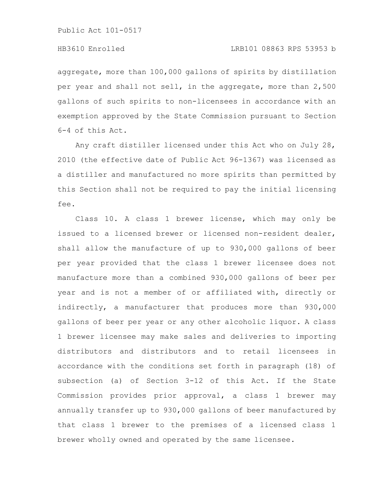aggregate, more than 100,000 gallons of spirits by distillation per year and shall not sell, in the aggregate, more than 2,500 gallons of such spirits to non-licensees in accordance with an exemption approved by the State Commission pursuant to Section 6-4 of this Act.

Any craft distiller licensed under this Act who on July 28, 2010 (the effective date of Public Act 96-1367) was licensed as a distiller and manufactured no more spirits than permitted by this Section shall not be required to pay the initial licensing fee.

Class 10. A class 1 brewer license, which may only be issued to a licensed brewer or licensed non-resident dealer, shall allow the manufacture of up to 930,000 gallons of beer per year provided that the class 1 brewer licensee does not manufacture more than a combined 930,000 gallons of beer per year and is not a member of or affiliated with, directly or indirectly, a manufacturer that produces more than 930,000 gallons of beer per year or any other alcoholic liquor. A class 1 brewer licensee may make sales and deliveries to importing distributors and distributors and to retail licensees in accordance with the conditions set forth in paragraph (18) of subsection (a) of Section 3-12 of this Act. If the State Commission provides prior approval, a class 1 brewer may annually transfer up to 930,000 gallons of beer manufactured by that class 1 brewer to the premises of a licensed class 1 brewer wholly owned and operated by the same licensee.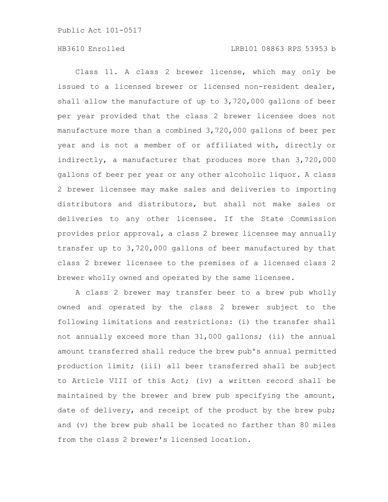# HB3610 Enrolled LRB101 08863 RPS 53953 b

Class 11. A class 2 brewer license, which may only be issued to a licensed brewer or licensed non-resident dealer, shall allow the manufacture of up to 3,720,000 gallons of beer per year provided that the class 2 brewer licensee does not manufacture more than a combined 3,720,000 gallons of beer per year and is not a member of or affiliated with, directly or indirectly, a manufacturer that produces more than 3,720,000 gallons of beer per year or any other alcoholic liquor. A class 2 brewer licensee may make sales and deliveries to importing distributors and distributors, but shall not make sales or deliveries to any other licensee. If the State Commission provides prior approval, a class 2 brewer licensee may annually transfer up to 3,720,000 gallons of beer manufactured by that class 2 brewer licensee to the premises of a licensed class 2 brewer wholly owned and operated by the same licensee.

A class 2 brewer may transfer beer to a brew pub wholly owned and operated by the class 2 brewer subject to the following limitations and restrictions: (i) the transfer shall not annually exceed more than 31,000 gallons; (ii) the annual amount transferred shall reduce the brew pub's annual permitted production limit; (iii) all beer transferred shall be subject to Article VIII of this Act; (iv) a written record shall be maintained by the brewer and brew pub specifying the amount, date of delivery, and receipt of the product by the brew pub; and (v) the brew pub shall be located no farther than 80 miles from the class 2 brewer's licensed location.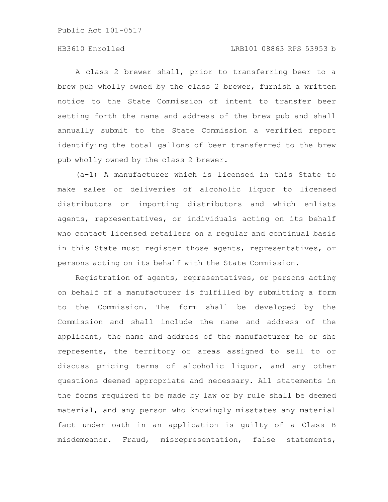# HB3610 Enrolled LRB101 08863 RPS 53953 b

A class 2 brewer shall, prior to transferring beer to a brew pub wholly owned by the class 2 brewer, furnish a written notice to the State Commission of intent to transfer beer setting forth the name and address of the brew pub and shall annually submit to the State Commission a verified report identifying the total gallons of beer transferred to the brew pub wholly owned by the class 2 brewer.

(a-1) A manufacturer which is licensed in this State to make sales or deliveries of alcoholic liquor to licensed distributors or importing distributors and which enlists agents, representatives, or individuals acting on its behalf who contact licensed retailers on a regular and continual basis in this State must register those agents, representatives, or persons acting on its behalf with the State Commission.

Registration of agents, representatives, or persons acting on behalf of a manufacturer is fulfilled by submitting a form to the Commission. The form shall be developed by the Commission and shall include the name and address of the applicant, the name and address of the manufacturer he or she represents, the territory or areas assigned to sell to or discuss pricing terms of alcoholic liquor, and any other questions deemed appropriate and necessary. All statements in the forms required to be made by law or by rule shall be deemed material, and any person who knowingly misstates any material fact under oath in an application is guilty of a Class B misdemeanor. Fraud, misrepresentation, false statements,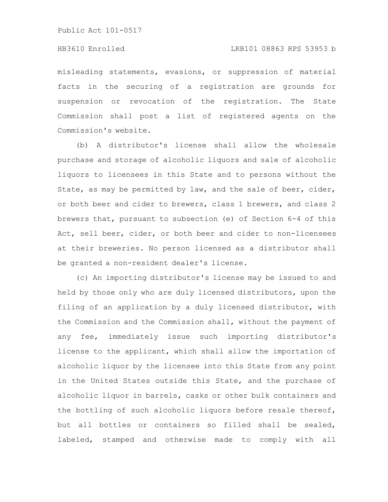# HB3610 Enrolled LRB101 08863 RPS 53953 b

misleading statements, evasions, or suppression of material facts in the securing of a registration are grounds for suspension or revocation of the registration. The State Commission shall post a list of registered agents on the Commission's website.

(b) A distributor's license shall allow the wholesale purchase and storage of alcoholic liquors and sale of alcoholic liquors to licensees in this State and to persons without the State, as may be permitted by law, and the sale of beer, cider, or both beer and cider to brewers, class 1 brewers, and class 2 brewers that, pursuant to subsection (e) of Section 6-4 of this Act, sell beer, cider, or both beer and cider to non-licensees at their breweries. No person licensed as a distributor shall be granted a non-resident dealer's license.

(c) An importing distributor's license may be issued to and held by those only who are duly licensed distributors, upon the filing of an application by a duly licensed distributor, with the Commission and the Commission shall, without the payment of any fee, immediately issue such importing distributor's license to the applicant, which shall allow the importation of alcoholic liquor by the licensee into this State from any point in the United States outside this State, and the purchase of alcoholic liquor in barrels, casks or other bulk containers and the bottling of such alcoholic liquors before resale thereof, but all bottles or containers so filled shall be sealed, labeled, stamped and otherwise made to comply with all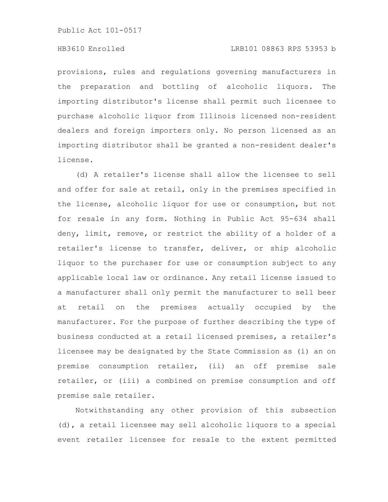# HB3610 Enrolled LRB101 08863 RPS 53953 b

provisions, rules and regulations governing manufacturers in the preparation and bottling of alcoholic liquors. The importing distributor's license shall permit such licensee to purchase alcoholic liquor from Illinois licensed non-resident dealers and foreign importers only. No person licensed as an importing distributor shall be granted a non-resident dealer's license.

(d) A retailer's license shall allow the licensee to sell and offer for sale at retail, only in the premises specified in the license, alcoholic liquor for use or consumption, but not for resale in any form. Nothing in Public Act 95-634 shall deny, limit, remove, or restrict the ability of a holder of a retailer's license to transfer, deliver, or ship alcoholic liquor to the purchaser for use or consumption subject to any applicable local law or ordinance. Any retail license issued to a manufacturer shall only permit the manufacturer to sell beer at retail on the premises actually occupied by the manufacturer. For the purpose of further describing the type of business conducted at a retail licensed premises, a retailer's licensee may be designated by the State Commission as (i) an on premise consumption retailer, (ii) an off premise sale retailer, or (iii) a combined on premise consumption and off premise sale retailer.

Notwithstanding any other provision of this subsection (d), a retail licensee may sell alcoholic liquors to a special event retailer licensee for resale to the extent permitted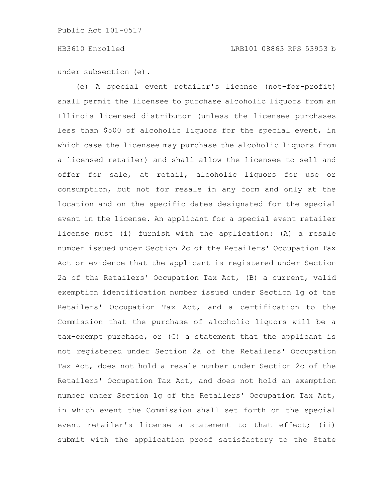under subsection (e).

(e) A special event retailer's license (not-for-profit) shall permit the licensee to purchase alcoholic liquors from an Illinois licensed distributor (unless the licensee purchases less than \$500 of alcoholic liquors for the special event, in which case the licensee may purchase the alcoholic liquors from a licensed retailer) and shall allow the licensee to sell and offer for sale, at retail, alcoholic liquors for use or consumption, but not for resale in any form and only at the location and on the specific dates designated for the special event in the license. An applicant for a special event retailer license must (i) furnish with the application: (A) a resale number issued under Section 2c of the Retailers' Occupation Tax Act or evidence that the applicant is registered under Section 2a of the Retailers' Occupation Tax Act, (B) a current, valid exemption identification number issued under Section 1g of the Retailers' Occupation Tax Act, and a certification to the Commission that the purchase of alcoholic liquors will be a tax-exempt purchase, or (C) a statement that the applicant is not registered under Section 2a of the Retailers' Occupation Tax Act, does not hold a resale number under Section 2c of the Retailers' Occupation Tax Act, and does not hold an exemption number under Section 1g of the Retailers' Occupation Tax Act, in which event the Commission shall set forth on the special event retailer's license a statement to that effect; (ii) submit with the application proof satisfactory to the State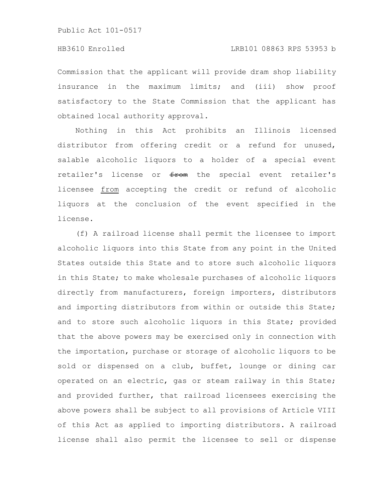Commission that the applicant will provide dram shop liability insurance in the maximum limits; and (iii) show proof satisfactory to the State Commission that the applicant has obtained local authority approval.

Nothing in this Act prohibits an Illinois licensed distributor from offering credit or a refund for unused, salable alcoholic liquors to a holder of a special event retailer's license or from the special event retailer's licensee from accepting the credit or refund of alcoholic liquors at the conclusion of the event specified in the license.

(f) A railroad license shall permit the licensee to import alcoholic liquors into this State from any point in the United States outside this State and to store such alcoholic liquors in this State; to make wholesale purchases of alcoholic liquors directly from manufacturers, foreign importers, distributors and importing distributors from within or outside this State; and to store such alcoholic liquors in this State; provided that the above powers may be exercised only in connection with the importation, purchase or storage of alcoholic liquors to be sold or dispensed on a club, buffet, lounge or dining car operated on an electric, gas or steam railway in this State; and provided further, that railroad licensees exercising the above powers shall be subject to all provisions of Article VIII of this Act as applied to importing distributors. A railroad license shall also permit the licensee to sell or dispense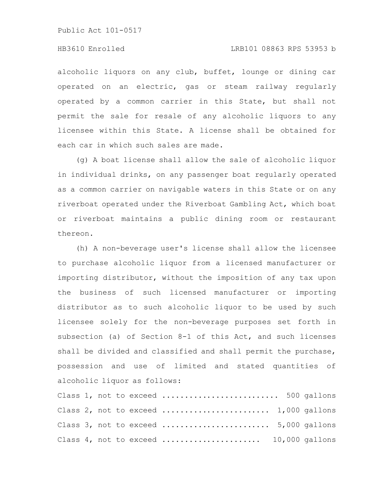### HB3610 Enrolled LRB101 08863 RPS 53953 b

alcoholic liquors on any club, buffet, lounge or dining car operated on an electric, gas or steam railway regularly operated by a common carrier in this State, but shall not permit the sale for resale of any alcoholic liquors to any licensee within this State. A license shall be obtained for each car in which such sales are made.

(g) A boat license shall allow the sale of alcoholic liquor in individual drinks, on any passenger boat regularly operated as a common carrier on navigable waters in this State or on any riverboat operated under the Riverboat Gambling Act, which boat or riverboat maintains a public dining room or restaurant thereon.

(h) A non-beverage user's license shall allow the licensee to purchase alcoholic liquor from a licensed manufacturer or importing distributor, without the imposition of any tax upon the business of such licensed manufacturer or importing distributor as to such alcoholic liquor to be used by such licensee solely for the non-beverage purposes set forth in subsection (a) of Section 8-1 of this Act, and such licenses shall be divided and classified and shall permit the purchase, possession and use of limited and stated quantities of alcoholic liquor as follows:

Class 1, not to exceed .......................... 500 gallons Class 2, not to exceed ........................ 1,000 gallons Class 3, not to exceed ........................ 5,000 gallons Class 4, not to exceed ...................... 10,000 gallons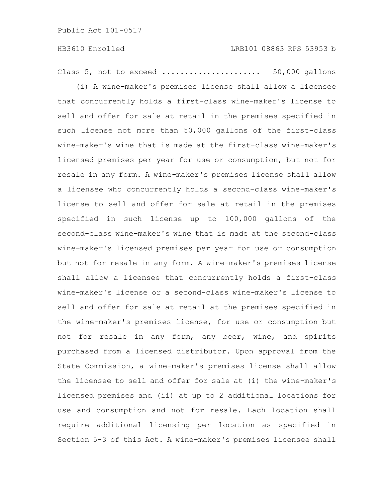Class 5, not to exceed ...................... 50,000 gallons

(i) A wine-maker's premises license shall allow a licensee that concurrently holds a first-class wine-maker's license to sell and offer for sale at retail in the premises specified in such license not more than 50,000 gallons of the first-class wine-maker's wine that is made at the first-class wine-maker's licensed premises per year for use or consumption, but not for resale in any form. A wine-maker's premises license shall allow a licensee who concurrently holds a second-class wine-maker's license to sell and offer for sale at retail in the premises specified in such license up to 100,000 gallons of the second-class wine-maker's wine that is made at the second-class wine-maker's licensed premises per year for use or consumption but not for resale in any form. A wine-maker's premises license shall allow a licensee that concurrently holds a first-class wine-maker's license or a second-class wine-maker's license to sell and offer for sale at retail at the premises specified in the wine-maker's premises license, for use or consumption but not for resale in any form, any beer, wine, and spirits purchased from a licensed distributor. Upon approval from the State Commission, a wine-maker's premises license shall allow the licensee to sell and offer for sale at (i) the wine-maker's licensed premises and (ii) at up to 2 additional locations for use and consumption and not for resale. Each location shall require additional licensing per location as specified in Section 5-3 of this Act. A wine-maker's premises licensee shall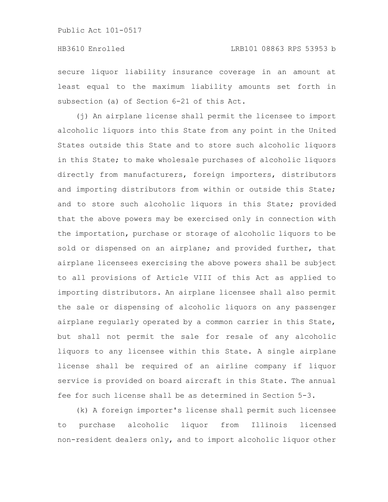secure liquor liability insurance coverage in an amount at least equal to the maximum liability amounts set forth in subsection (a) of Section 6-21 of this Act.

(j) An airplane license shall permit the licensee to import alcoholic liquors into this State from any point in the United States outside this State and to store such alcoholic liquors in this State; to make wholesale purchases of alcoholic liquors directly from manufacturers, foreign importers, distributors and importing distributors from within or outside this State; and to store such alcoholic liquors in this State; provided that the above powers may be exercised only in connection with the importation, purchase or storage of alcoholic liquors to be sold or dispensed on an airplane; and provided further, that airplane licensees exercising the above powers shall be subject to all provisions of Article VIII of this Act as applied to importing distributors. An airplane licensee shall also permit the sale or dispensing of alcoholic liquors on any passenger airplane regularly operated by a common carrier in this State, but shall not permit the sale for resale of any alcoholic liquors to any licensee within this State. A single airplane license shall be required of an airline company if liquor service is provided on board aircraft in this State. The annual fee for such license shall be as determined in Section 5-3.

(k) A foreign importer's license shall permit such licensee to purchase alcoholic liquor from Illinois licensed non-resident dealers only, and to import alcoholic liquor other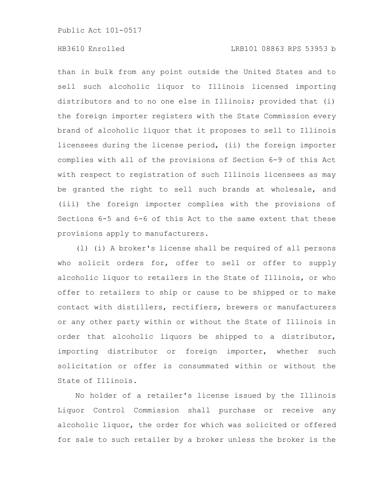than in bulk from any point outside the United States and to sell such alcoholic liquor to Illinois licensed importing distributors and to no one else in Illinois; provided that (i) the foreign importer registers with the State Commission every brand of alcoholic liquor that it proposes to sell to Illinois licensees during the license period, (ii) the foreign importer complies with all of the provisions of Section 6-9 of this Act with respect to registration of such Illinois licensees as may be granted the right to sell such brands at wholesale, and (iii) the foreign importer complies with the provisions of Sections 6-5 and 6-6 of this Act to the same extent that these provisions apply to manufacturers.

(l) (i) A broker's license shall be required of all persons who solicit orders for, offer to sell or offer to supply alcoholic liquor to retailers in the State of Illinois, or who offer to retailers to ship or cause to be shipped or to make contact with distillers, rectifiers, brewers or manufacturers or any other party within or without the State of Illinois in order that alcoholic liquors be shipped to a distributor, importing distributor or foreign importer, whether such solicitation or offer is consummated within or without the State of Illinois.

No holder of a retailer's license issued by the Illinois Liquor Control Commission shall purchase or receive any alcoholic liquor, the order for which was solicited or offered for sale to such retailer by a broker unless the broker is the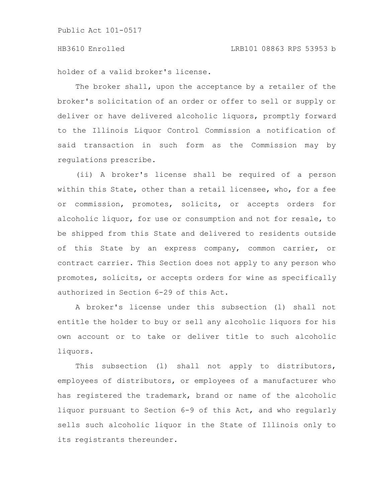holder of a valid broker's license.

The broker shall, upon the acceptance by a retailer of the broker's solicitation of an order or offer to sell or supply or deliver or have delivered alcoholic liquors, promptly forward to the Illinois Liquor Control Commission a notification of said transaction in such form as the Commission may by regulations prescribe.

(ii) A broker's license shall be required of a person within this State, other than a retail licensee, who, for a fee or commission, promotes, solicits, or accepts orders for alcoholic liquor, for use or consumption and not for resale, to be shipped from this State and delivered to residents outside of this State by an express company, common carrier, or contract carrier. This Section does not apply to any person who promotes, solicits, or accepts orders for wine as specifically authorized in Section 6-29 of this Act.

A broker's license under this subsection (l) shall not entitle the holder to buy or sell any alcoholic liquors for his own account or to take or deliver title to such alcoholic liquors.

This subsection (l) shall not apply to distributors, employees of distributors, or employees of a manufacturer who has registered the trademark, brand or name of the alcoholic liquor pursuant to Section 6-9 of this Act, and who regularly sells such alcoholic liquor in the State of Illinois only to its registrants thereunder.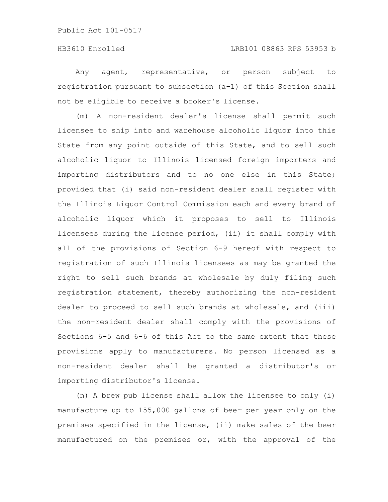Any agent, representative, or person subject to registration pursuant to subsection (a-1) of this Section shall not be eligible to receive a broker's license.

(m) A non-resident dealer's license shall permit such licensee to ship into and warehouse alcoholic liquor into this State from any point outside of this State, and to sell such alcoholic liquor to Illinois licensed foreign importers and importing distributors and to no one else in this State; provided that (i) said non-resident dealer shall register with the Illinois Liquor Control Commission each and every brand of alcoholic liquor which it proposes to sell to Illinois licensees during the license period, (ii) it shall comply with all of the provisions of Section 6-9 hereof with respect to registration of such Illinois licensees as may be granted the right to sell such brands at wholesale by duly filing such registration statement, thereby authorizing the non-resident dealer to proceed to sell such brands at wholesale, and (iii) the non-resident dealer shall comply with the provisions of Sections 6-5 and 6-6 of this Act to the same extent that these provisions apply to manufacturers. No person licensed as a non-resident dealer shall be granted a distributor's or importing distributor's license.

(n) A brew pub license shall allow the licensee to only (i) manufacture up to 155,000 gallons of beer per year only on the premises specified in the license, (ii) make sales of the beer manufactured on the premises or, with the approval of the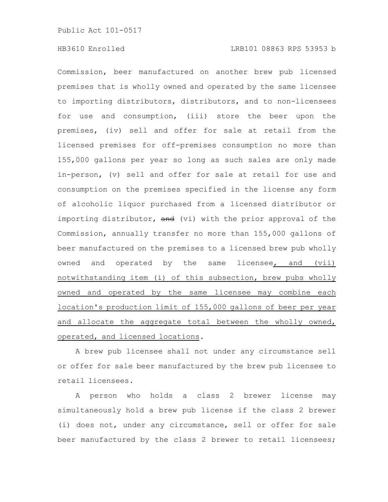Commission, beer manufactured on another brew pub licensed premises that is wholly owned and operated by the same licensee to importing distributors, distributors, and to non-licensees for use and consumption, (iii) store the beer upon the premises, (iv) sell and offer for sale at retail from the licensed premises for off-premises consumption no more than 155,000 gallons per year so long as such sales are only made in-person, (v) sell and offer for sale at retail for use and consumption on the premises specified in the license any form of alcoholic liquor purchased from a licensed distributor or importing distributor, and (vi) with the prior approval of the Commission, annually transfer no more than 155,000 gallons of beer manufactured on the premises to a licensed brew pub wholly owned and operated by the same licensee, and (vii) notwithstanding item (i) of this subsection, brew pubs wholly owned and operated by the same licensee may combine each location's production limit of 155,000 gallons of beer per year and allocate the aggregate total between the wholly owned, operated, and licensed locations.

A brew pub licensee shall not under any circumstance sell or offer for sale beer manufactured by the brew pub licensee to retail licensees.

A person who holds a class 2 brewer license may simultaneously hold a brew pub license if the class 2 brewer (i) does not, under any circumstance, sell or offer for sale beer manufactured by the class 2 brewer to retail licensees;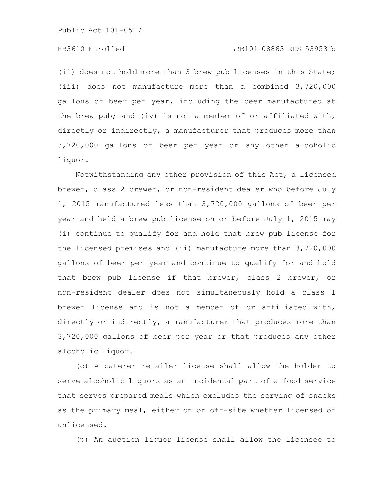# HB3610 Enrolled LRB101 08863 RPS 53953 b

(ii) does not hold more than 3 brew pub licenses in this State; (iii) does not manufacture more than a combined 3,720,000 gallons of beer per year, including the beer manufactured at the brew pub; and (iv) is not a member of or affiliated with, directly or indirectly, a manufacturer that produces more than 3,720,000 gallons of beer per year or any other alcoholic liquor.

Notwithstanding any other provision of this Act, a licensed brewer, class 2 brewer, or non-resident dealer who before July 1, 2015 manufactured less than 3,720,000 gallons of beer per year and held a brew pub license on or before July 1, 2015 may (i) continue to qualify for and hold that brew pub license for the licensed premises and (ii) manufacture more than 3,720,000 gallons of beer per year and continue to qualify for and hold that brew pub license if that brewer, class 2 brewer, or non-resident dealer does not simultaneously hold a class 1 brewer license and is not a member of or affiliated with, directly or indirectly, a manufacturer that produces more than 3,720,000 gallons of beer per year or that produces any other alcoholic liquor.

(o) A caterer retailer license shall allow the holder to serve alcoholic liquors as an incidental part of a food service that serves prepared meals which excludes the serving of snacks as the primary meal, either on or off-site whether licensed or unlicensed.

(p) An auction liquor license shall allow the licensee to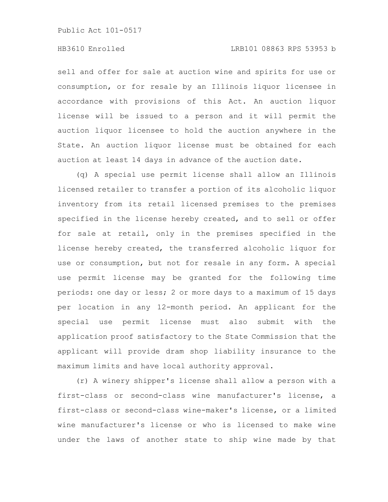sell and offer for sale at auction wine and spirits for use or consumption, or for resale by an Illinois liquor licensee in accordance with provisions of this Act. An auction liquor license will be issued to a person and it will permit the auction liquor licensee to hold the auction anywhere in the State. An auction liquor license must be obtained for each auction at least 14 days in advance of the auction date.

(q) A special use permit license shall allow an Illinois licensed retailer to transfer a portion of its alcoholic liquor inventory from its retail licensed premises to the premises specified in the license hereby created, and to sell or offer for sale at retail, only in the premises specified in the license hereby created, the transferred alcoholic liquor for use or consumption, but not for resale in any form. A special use permit license may be granted for the following time periods: one day or less; 2 or more days to a maximum of 15 days per location in any 12-month period. An applicant for the special use permit license must also submit with the application proof satisfactory to the State Commission that the applicant will provide dram shop liability insurance to the maximum limits and have local authority approval.

(r) A winery shipper's license shall allow a person with a first-class or second-class wine manufacturer's license, a first-class or second-class wine-maker's license, or a limited wine manufacturer's license or who is licensed to make wine under the laws of another state to ship wine made by that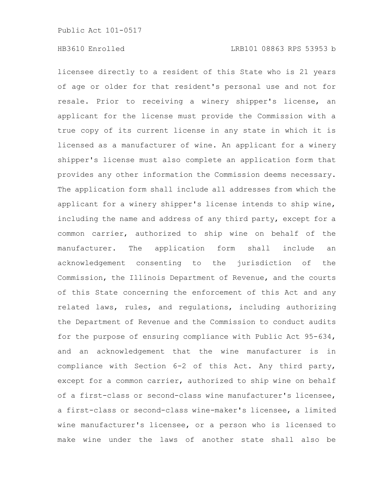licensee directly to a resident of this State who is 21 years of age or older for that resident's personal use and not for resale. Prior to receiving a winery shipper's license, an applicant for the license must provide the Commission with a true copy of its current license in any state in which it is licensed as a manufacturer of wine. An applicant for a winery shipper's license must also complete an application form that provides any other information the Commission deems necessary. The application form shall include all addresses from which the applicant for a winery shipper's license intends to ship wine, including the name and address of any third party, except for a common carrier, authorized to ship wine on behalf of the manufacturer. The application form shall include an acknowledgement consenting to the jurisdiction of the Commission, the Illinois Department of Revenue, and the courts of this State concerning the enforcement of this Act and any related laws, rules, and regulations, including authorizing the Department of Revenue and the Commission to conduct audits for the purpose of ensuring compliance with Public Act 95-634, and an acknowledgement that the wine manufacturer is in compliance with Section 6-2 of this Act. Any third party, except for a common carrier, authorized to ship wine on behalf of a first-class or second-class wine manufacturer's licensee, a first-class or second-class wine-maker's licensee, a limited wine manufacturer's licensee, or a person who is licensed to make wine under the laws of another state shall also be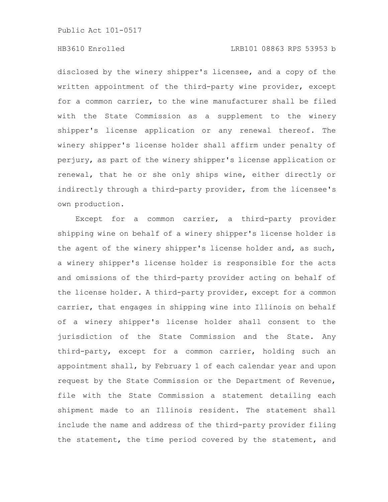# HB3610 Enrolled LRB101 08863 RPS 53953 b

disclosed by the winery shipper's licensee, and a copy of the written appointment of the third-party wine provider, except for a common carrier, to the wine manufacturer shall be filed with the State Commission as a supplement to the winery shipper's license application or any renewal thereof. The winery shipper's license holder shall affirm under penalty of perjury, as part of the winery shipper's license application or renewal, that he or she only ships wine, either directly or indirectly through a third-party provider, from the licensee's own production.

Except for a common carrier, a third-party provider shipping wine on behalf of a winery shipper's license holder is the agent of the winery shipper's license holder and, as such, a winery shipper's license holder is responsible for the acts and omissions of the third-party provider acting on behalf of the license holder. A third-party provider, except for a common carrier, that engages in shipping wine into Illinois on behalf of a winery shipper's license holder shall consent to the jurisdiction of the State Commission and the State. Any third-party, except for a common carrier, holding such an appointment shall, by February 1 of each calendar year and upon request by the State Commission or the Department of Revenue, file with the State Commission a statement detailing each shipment made to an Illinois resident. The statement shall include the name and address of the third-party provider filing the statement, the time period covered by the statement, and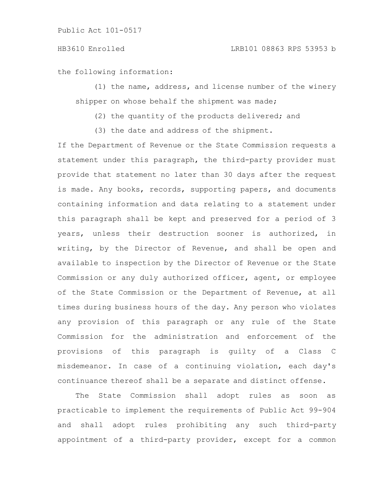the following information:

(1) the name, address, and license number of the winery shipper on whose behalf the shipment was made;

(2) the quantity of the products delivered; and

(3) the date and address of the shipment.

If the Department of Revenue or the State Commission requests a statement under this paragraph, the third-party provider must provide that statement no later than 30 days after the request is made. Any books, records, supporting papers, and documents containing information and data relating to a statement under this paragraph shall be kept and preserved for a period of 3 years, unless their destruction sooner is authorized, in writing, by the Director of Revenue, and shall be open and available to inspection by the Director of Revenue or the State Commission or any duly authorized officer, agent, or employee of the State Commission or the Department of Revenue, at all times during business hours of the day. Any person who violates any provision of this paragraph or any rule of the State Commission for the administration and enforcement of the provisions of this paragraph is guilty of a Class C misdemeanor. In case of a continuing violation, each day's continuance thereof shall be a separate and distinct offense.

The State Commission shall adopt rules as soon as practicable to implement the requirements of Public Act 99-904 and shall adopt rules prohibiting any such third-party appointment of a third-party provider, except for a common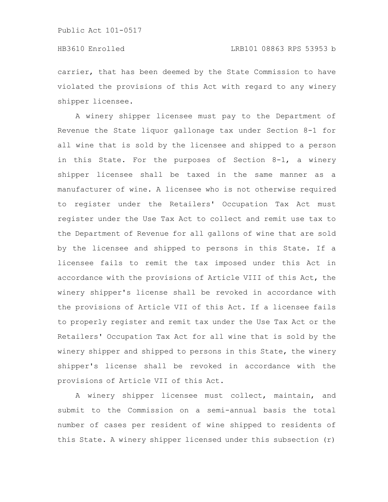carrier, that has been deemed by the State Commission to have violated the provisions of this Act with regard to any winery shipper licensee.

A winery shipper licensee must pay to the Department of Revenue the State liquor gallonage tax under Section 8-1 for all wine that is sold by the licensee and shipped to a person in this State. For the purposes of Section 8-1, a winery shipper licensee shall be taxed in the same manner as a manufacturer of wine. A licensee who is not otherwise required to register under the Retailers' Occupation Tax Act must register under the Use Tax Act to collect and remit use tax to the Department of Revenue for all gallons of wine that are sold by the licensee and shipped to persons in this State. If a licensee fails to remit the tax imposed under this Act in accordance with the provisions of Article VIII of this Act, the winery shipper's license shall be revoked in accordance with the provisions of Article VII of this Act. If a licensee fails to properly register and remit tax under the Use Tax Act or the Retailers' Occupation Tax Act for all wine that is sold by the winery shipper and shipped to persons in this State, the winery shipper's license shall be revoked in accordance with the provisions of Article VII of this Act.

A winery shipper licensee must collect, maintain, and submit to the Commission on a semi-annual basis the total number of cases per resident of wine shipped to residents of this State. A winery shipper licensed under this subsection (r)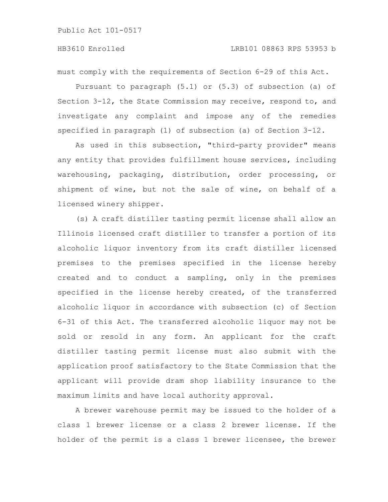must comply with the requirements of Section 6-29 of this Act.

Pursuant to paragraph (5.1) or (5.3) of subsection (a) of Section 3-12, the State Commission may receive, respond to, and investigate any complaint and impose any of the remedies specified in paragraph (1) of subsection (a) of Section 3-12.

As used in this subsection, "third-party provider" means any entity that provides fulfillment house services, including warehousing, packaging, distribution, order processing, or shipment of wine, but not the sale of wine, on behalf of a licensed winery shipper.

(s) A craft distiller tasting permit license shall allow an Illinois licensed craft distiller to transfer a portion of its alcoholic liquor inventory from its craft distiller licensed premises to the premises specified in the license hereby created and to conduct a sampling, only in the premises specified in the license hereby created, of the transferred alcoholic liquor in accordance with subsection (c) of Section 6-31 of this Act. The transferred alcoholic liquor may not be sold or resold in any form. An applicant for the craft distiller tasting permit license must also submit with the application proof satisfactory to the State Commission that the applicant will provide dram shop liability insurance to the maximum limits and have local authority approval.

A brewer warehouse permit may be issued to the holder of a class 1 brewer license or a class 2 brewer license. If the holder of the permit is a class 1 brewer licensee, the brewer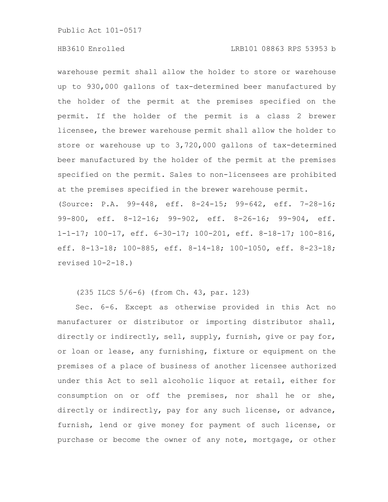### HB3610 Enrolled LRB101 08863 RPS 53953 b

warehouse permit shall allow the holder to store or warehouse up to 930,000 gallons of tax-determined beer manufactured by the holder of the permit at the premises specified on the permit. If the holder of the permit is a class 2 brewer licensee, the brewer warehouse permit shall allow the holder to store or warehouse up to 3,720,000 gallons of tax-determined beer manufactured by the holder of the permit at the premises specified on the permit. Sales to non-licensees are prohibited at the premises specified in the brewer warehouse permit. (Source: P.A. 99-448, eff. 8-24-15; 99-642, eff. 7-28-16; 99-800, eff. 8-12-16; 99-902, eff. 8-26-16; 99-904, eff. 1-1-17; 100-17, eff. 6-30-17; 100-201, eff. 8-18-17; 100-816, eff. 8-13-18; 100-885, eff. 8-14-18; 100-1050, eff. 8-23-18; revised 10-2-18.)

(235 ILCS 5/6-6) (from Ch. 43, par. 123)

Sec. 6-6. Except as otherwise provided in this Act no manufacturer or distributor or importing distributor shall, directly or indirectly, sell, supply, furnish, give or pay for, or loan or lease, any furnishing, fixture or equipment on the premises of a place of business of another licensee authorized under this Act to sell alcoholic liquor at retail, either for consumption on or off the premises, nor shall he or she, directly or indirectly, pay for any such license, or advance, furnish, lend or give money for payment of such license, or purchase or become the owner of any note, mortgage, or other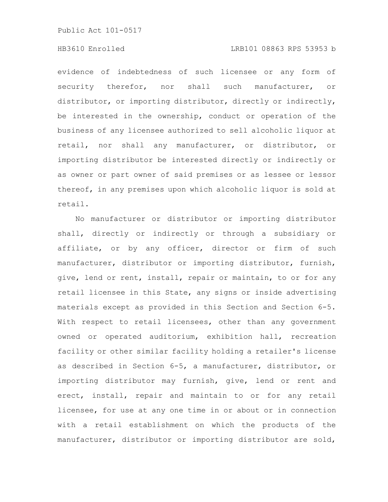# HB3610 Enrolled LRB101 08863 RPS 53953 b

evidence of indebtedness of such licensee or any form of security therefor, nor shall such manufacturer, or distributor, or importing distributor, directly or indirectly, be interested in the ownership, conduct or operation of the business of any licensee authorized to sell alcoholic liquor at retail, nor shall any manufacturer, or distributor, or importing distributor be interested directly or indirectly or as owner or part owner of said premises or as lessee or lessor thereof, in any premises upon which alcoholic liquor is sold at retail.

No manufacturer or distributor or importing distributor shall, directly or indirectly or through a subsidiary or affiliate, or by any officer, director or firm of such manufacturer, distributor or importing distributor, furnish, give, lend or rent, install, repair or maintain, to or for any retail licensee in this State, any signs or inside advertising materials except as provided in this Section and Section 6-5. With respect to retail licensees, other than any government owned or operated auditorium, exhibition hall, recreation facility or other similar facility holding a retailer's license as described in Section 6-5, a manufacturer, distributor, or importing distributor may furnish, give, lend or rent and erect, install, repair and maintain to or for any retail licensee, for use at any one time in or about or in connection with a retail establishment on which the products of the manufacturer, distributor or importing distributor are sold,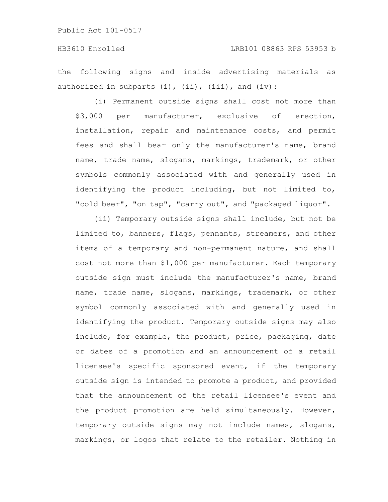the following signs and inside advertising materials as authorized in subparts  $(i)$ ,  $(ii)$ ,  $(iii)$ , and  $(iv)$ :

(i) Permanent outside signs shall cost not more than \$3,000 per manufacturer, exclusive of erection, installation, repair and maintenance costs, and permit fees and shall bear only the manufacturer's name, brand name, trade name, slogans, markings, trademark, or other symbols commonly associated with and generally used in identifying the product including, but not limited to, "cold beer", "on tap", "carry out", and "packaged liquor".

(ii) Temporary outside signs shall include, but not be limited to, banners, flags, pennants, streamers, and other items of a temporary and non-permanent nature, and shall cost not more than \$1,000 per manufacturer. Each temporary outside sign must include the manufacturer's name, brand name, trade name, slogans, markings, trademark, or other symbol commonly associated with and generally used in identifying the product. Temporary outside signs may also include, for example, the product, price, packaging, date or dates of a promotion and an announcement of a retail licensee's specific sponsored event, if the temporary outside sign is intended to promote a product, and provided that the announcement of the retail licensee's event and the product promotion are held simultaneously. However, temporary outside signs may not include names, slogans, markings, or logos that relate to the retailer. Nothing in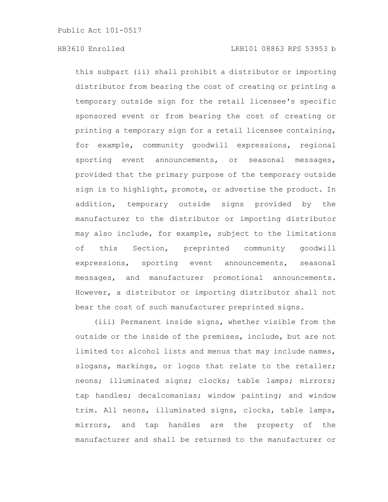this subpart (ii) shall prohibit a distributor or importing distributor from bearing the cost of creating or printing a temporary outside sign for the retail licensee's specific sponsored event or from bearing the cost of creating or printing a temporary sign for a retail licensee containing, for example, community goodwill expressions, regional sporting event announcements, or seasonal messages, provided that the primary purpose of the temporary outside sign is to highlight, promote, or advertise the product. In addition, temporary outside signs provided by the manufacturer to the distributor or importing distributor may also include, for example, subject to the limitations of this Section, preprinted community goodwill expressions, sporting event announcements, seasonal messages, and manufacturer promotional announcements. However, a distributor or importing distributor shall not bear the cost of such manufacturer preprinted signs.

(iii) Permanent inside signs, whether visible from the outside or the inside of the premises, include, but are not limited to: alcohol lists and menus that may include names, slogans, markings, or logos that relate to the retailer; neons; illuminated signs; clocks; table lamps; mirrors; tap handles; decalcomanias; window painting; and window trim. All neons, illuminated signs, clocks, table lamps, mirrors, and tap handles are the property of the manufacturer and shall be returned to the manufacturer or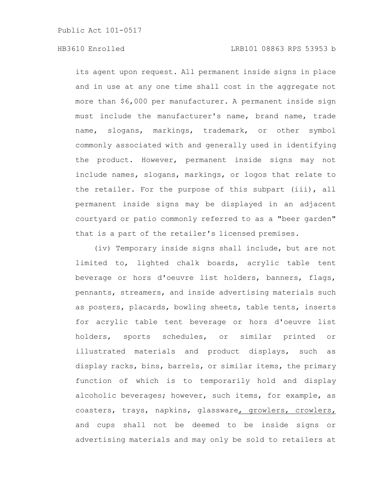its agent upon request. All permanent inside signs in place and in use at any one time shall cost in the aggregate not more than \$6,000 per manufacturer. A permanent inside sign must include the manufacturer's name, brand name, trade name, slogans, markings, trademark, or other symbol commonly associated with and generally used in identifying the product. However, permanent inside signs may not include names, slogans, markings, or logos that relate to the retailer. For the purpose of this subpart (iii), all permanent inside signs may be displayed in an adjacent courtyard or patio commonly referred to as a "beer garden" that is a part of the retailer's licensed premises.

(iv) Temporary inside signs shall include, but are not limited to, lighted chalk boards, acrylic table tent beverage or hors d'oeuvre list holders, banners, flags, pennants, streamers, and inside advertising materials such as posters, placards, bowling sheets, table tents, inserts for acrylic table tent beverage or hors d'oeuvre list holders, sports schedules, or similar printed or illustrated materials and product displays, such as display racks, bins, barrels, or similar items, the primary function of which is to temporarily hold and display alcoholic beverages; however, such items, for example, as coasters, trays, napkins, glassware, growlers, crowlers, and cups shall not be deemed to be inside signs or advertising materials and may only be sold to retailers at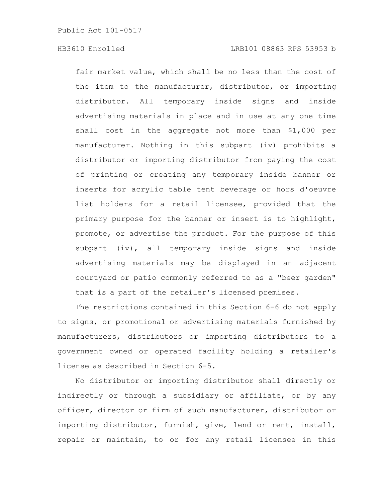fair market value, which shall be no less than the cost of the item to the manufacturer, distributor, or importing distributor. All temporary inside signs and inside advertising materials in place and in use at any one time shall cost in the aggregate not more than \$1,000 per manufacturer. Nothing in this subpart (iv) prohibits a distributor or importing distributor from paying the cost of printing or creating any temporary inside banner or inserts for acrylic table tent beverage or hors d'oeuvre list holders for a retail licensee, provided that the primary purpose for the banner or insert is to highlight, promote, or advertise the product. For the purpose of this subpart (iv), all temporary inside signs and inside advertising materials may be displayed in an adjacent courtyard or patio commonly referred to as a "beer garden" that is a part of the retailer's licensed premises.

The restrictions contained in this Section 6-6 do not apply to signs, or promotional or advertising materials furnished by manufacturers, distributors or importing distributors to a government owned or operated facility holding a retailer's license as described in Section 6-5.

No distributor or importing distributor shall directly or indirectly or through a subsidiary or affiliate, or by any officer, director or firm of such manufacturer, distributor or importing distributor, furnish, give, lend or rent, install, repair or maintain, to or for any retail licensee in this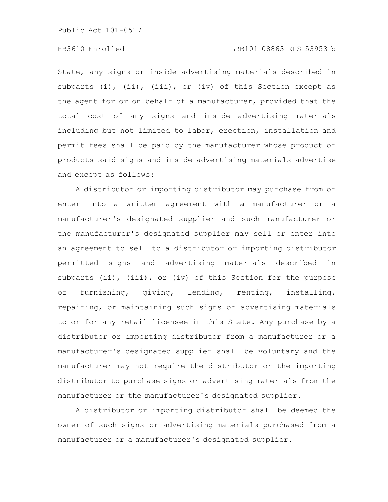# HB3610 Enrolled LRB101 08863 RPS 53953 b

State, any signs or inside advertising materials described in subparts (i), (ii), (iii), or (iv) of this Section except as the agent for or on behalf of a manufacturer, provided that the total cost of any signs and inside advertising materials including but not limited to labor, erection, installation and permit fees shall be paid by the manufacturer whose product or products said signs and inside advertising materials advertise and except as follows:

A distributor or importing distributor may purchase from or enter into a written agreement with a manufacturer or a manufacturer's designated supplier and such manufacturer or the manufacturer's designated supplier may sell or enter into an agreement to sell to a distributor or importing distributor permitted signs and advertising materials described in subparts (ii), (iii), or (iv) of this Section for the purpose of furnishing, giving, lending, renting, installing, repairing, or maintaining such signs or advertising materials to or for any retail licensee in this State. Any purchase by a distributor or importing distributor from a manufacturer or a manufacturer's designated supplier shall be voluntary and the manufacturer may not require the distributor or the importing distributor to purchase signs or advertising materials from the manufacturer or the manufacturer's designated supplier.

A distributor or importing distributor shall be deemed the owner of such signs or advertising materials purchased from a manufacturer or a manufacturer's designated supplier.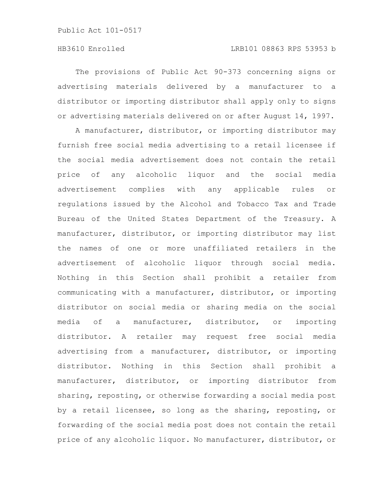# HB3610 Enrolled LRB101 08863 RPS 53953 b

The provisions of Public Act 90-373 concerning signs or advertising materials delivered by a manufacturer to a distributor or importing distributor shall apply only to signs or advertising materials delivered on or after August 14, 1997.

A manufacturer, distributor, or importing distributor may furnish free social media advertising to a retail licensee if the social media advertisement does not contain the retail price of any alcoholic liquor and the social media advertisement complies with any applicable rules or regulations issued by the Alcohol and Tobacco Tax and Trade Bureau of the United States Department of the Treasury. A manufacturer, distributor, or importing distributor may list the names of one or more unaffiliated retailers in the advertisement of alcoholic liquor through social media. Nothing in this Section shall prohibit a retailer from communicating with a manufacturer, distributor, or importing distributor on social media or sharing media on the social media of a manufacturer, distributor, or importing distributor. A retailer may request free social media advertising from a manufacturer, distributor, or importing distributor. Nothing in this Section shall prohibit a manufacturer, distributor, or importing distributor from sharing, reposting, or otherwise forwarding a social media post by a retail licensee, so long as the sharing, reposting, or forwarding of the social media post does not contain the retail price of any alcoholic liquor. No manufacturer, distributor, or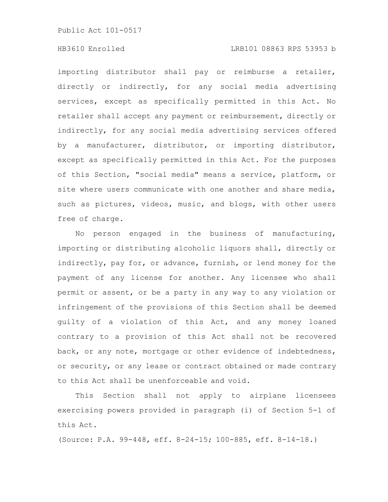# HB3610 Enrolled LRB101 08863 RPS 53953 b

importing distributor shall pay or reimburse a retailer, directly or indirectly, for any social media advertising services, except as specifically permitted in this Act. No retailer shall accept any payment or reimbursement, directly or indirectly, for any social media advertising services offered by a manufacturer, distributor, or importing distributor, except as specifically permitted in this Act. For the purposes of this Section, "social media" means a service, platform, or site where users communicate with one another and share media, such as pictures, videos, music, and blogs, with other users free of charge.

No person engaged in the business of manufacturing, importing or distributing alcoholic liquors shall, directly or indirectly, pay for, or advance, furnish, or lend money for the payment of any license for another. Any licensee who shall permit or assent, or be a party in any way to any violation or infringement of the provisions of this Section shall be deemed guilty of a violation of this Act, and any money loaned contrary to a provision of this Act shall not be recovered back, or any note, mortgage or other evidence of indebtedness, or security, or any lease or contract obtained or made contrary to this Act shall be unenforceable and void.

This Section shall not apply to airplane licensees exercising powers provided in paragraph (i) of Section 5-1 of this Act.

(Source: P.A. 99-448, eff. 8-24-15; 100-885, eff. 8-14-18.)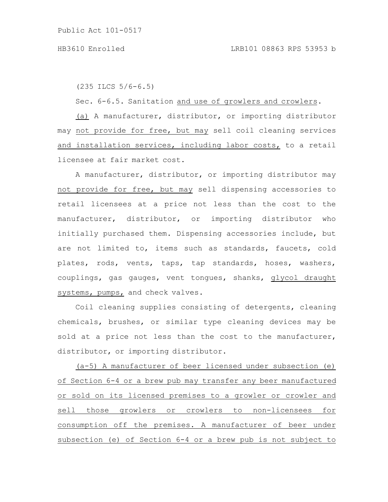(235 ILCS 5/6-6.5)

Sec. 6-6.5. Sanitation and use of growlers and crowlers.

(a) A manufacturer, distributor, or importing distributor may not provide for free, but may sell coil cleaning services and installation services, including labor costs, to a retail licensee at fair market cost.

A manufacturer, distributor, or importing distributor may not provide for free, but may sell dispensing accessories to retail licensees at a price not less than the cost to the manufacturer, distributor, or importing distributor who initially purchased them. Dispensing accessories include, but are not limited to, items such as standards, faucets, cold plates, rods, vents, taps, tap standards, hoses, washers, couplings, gas gauges, vent tongues, shanks, glycol draught systems, pumps, and check valves.

Coil cleaning supplies consisting of detergents, cleaning chemicals, brushes, or similar type cleaning devices may be sold at a price not less than the cost to the manufacturer, distributor, or importing distributor.

(a-5) A manufacturer of beer licensed under subsection (e) of Section 6-4 or a brew pub may transfer any beer manufactured or sold on its licensed premises to a growler or crowler and sell those growlers or crowlers to non-licensees for consumption off the premises. A manufacturer of beer under subsection (e) of Section 6-4 or a brew pub is not subject to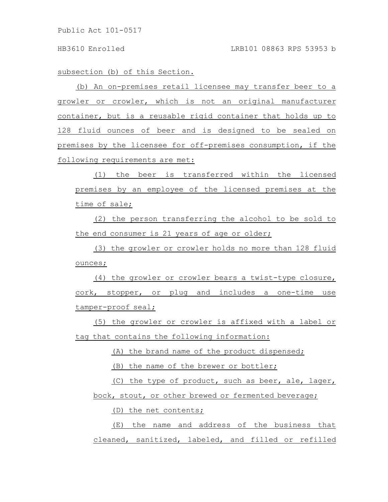subsection (b) of this Section.

(b) An on-premises retail licensee may transfer beer to a growler or crowler, which is not an original manufacturer container, but is a reusable rigid container that holds up to 128 fluid ounces of beer and is designed to be sealed on premises by the licensee for off-premises consumption, if the following requirements are met:

(1) the beer is transferred within the licensed premises by an employee of the licensed premises at the time of sale;

(2) the person transferring the alcohol to be sold to the end consumer is 21 years of age or older;

(3) the growler or crowler holds no more than 128 fluid ounces;

(4) the growler or crowler bears a twist-type closure, cork, stopper, or plug and includes a one-time use tamper-proof seal;

(5) the growler or crowler is affixed with a label or tag that contains the following information:

(A) the brand name of the product dispensed;

(B) the name of the brewer or bottler;

(C) the type of product, such as beer, ale, lager, bock, stout, or other brewed or fermented beverage;

(D) the net contents;

(E) the name and address of the business that cleaned, sanitized, labeled, and filled or refilled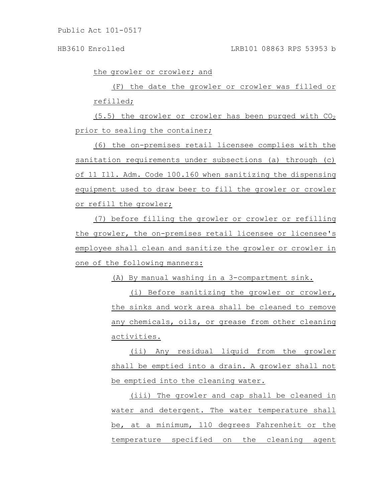HB3610 Enrolled LRB101 08863 RPS 53953 b

the growler or crowler; and

(F) the date the growler or crowler was filled or refilled;

(5.5) the growler or crowler has been purged with  $CO<sub>2</sub>$ prior to sealing the container;

(6) the on-premises retail licensee complies with the sanitation requirements under subsections (a) through (c) of 11 Ill. Adm. Code 100.160 when sanitizing the dispensing equipment used to draw beer to fill the growler or crowler or refill the growler;

(7) before filling the growler or crowler or refilling the growler, the on-premises retail licensee or licensee's employee shall clean and sanitize the growler or crowler in one of the following manners:

(A) By manual washing in a 3-compartment sink.

(i) Before sanitizing the growler or crowler, the sinks and work area shall be cleaned to remove any chemicals, oils, or grease from other cleaning activities.

(ii) Any residual liquid from the growler shall be emptied into a drain. A growler shall not be emptied into the cleaning water.

(iii) The growler and cap shall be cleaned in water and detergent. The water temperature shall be, at a minimum, 110 degrees Fahrenheit or the temperature specified on the cleaning agent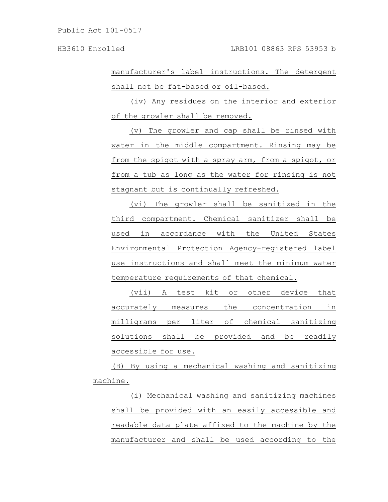manufacturer's label instructions. The detergent shall not be fat-based or oil-based.

(iv) Any residues on the interior and exterior of the growler shall be removed.

(v) The growler and cap shall be rinsed with water in the middle compartment. Rinsing may be from the spigot with a spray arm, from a spigot, or from a tub as long as the water for rinsing is not stagnant but is continually refreshed.

(vi) The growler shall be sanitized in the third compartment. Chemical sanitizer shall be used in accordance with the United States Environmental Protection Agency-registered label use instructions and shall meet the minimum water temperature requirements of that chemical.

(vii) A test kit or other device that accurately measures the concentration in milligrams per liter of chemical sanitizing solutions shall be provided and be readily accessible for use.

(B) By using a mechanical washing and sanitizing machine.

(i) Mechanical washing and sanitizing machines shall be provided with an easily accessible and readable data plate affixed to the machine by the manufacturer and shall be used according to the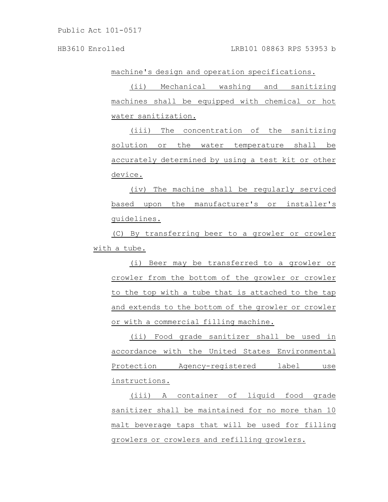machine's design and operation specifications.

(ii) Mechanical washing and sanitizing machines shall be equipped with chemical or hot water sanitization.

(iii) The concentration of the sanitizing solution or the water temperature shall be accurately determined by using a test kit or other device.

(iv) The machine shall be regularly serviced based upon the manufacturer's or installer's guidelines.

(C) By transferring beer to a growler or crowler with a tube.

(i) Beer may be transferred to a growler or crowler from the bottom of the growler or crowler to the top with a tube that is attached to the tap and extends to the bottom of the growler or crowler or with a commercial filling machine.

(ii) Food grade sanitizer shall be used in accordance with the United States Environmental Protection Agency-registered label use instructions.

(iii) A container of liquid food grade sanitizer shall be maintained for no more than 10 malt beverage taps that will be used for filling growlers or crowlers and refilling growlers.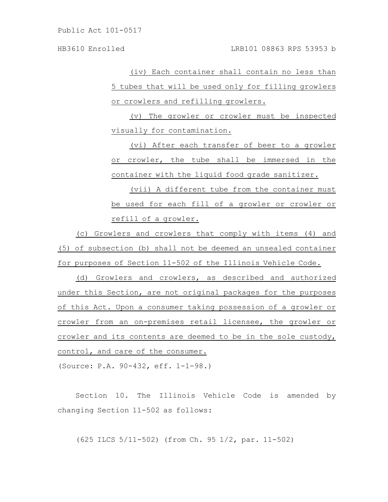(iv) Each container shall contain no less than 5 tubes that will be used only for filling growlers or crowlers and refilling growlers.

(v) The growler or crowler must be inspected visually for contamination.

(vi) After each transfer of beer to a growler or crowler, the tube shall be immersed in the container with the liquid food grade sanitizer.

(vii) A different tube from the container must be used for each fill of a growler or crowler or refill of a growler.

(c) Growlers and crowlers that comply with items (4) and (5) of subsection (b) shall not be deemed an unsealed container for purposes of Section 11-502 of the Illinois Vehicle Code.

(d) Growlers and crowlers, as described and authorized under this Section, are not original packages for the purposes of this Act. Upon a consumer taking possession of a growler or crowler from an on-premises retail licensee, the growler or crowler and its contents are deemed to be in the sole custody, control, and care of the consumer.

(Source: P.A. 90-432, eff. 1-1-98.)

Section 10. The Illinois Vehicle Code is amended by changing Section 11-502 as follows:

(625 ILCS 5/11-502) (from Ch. 95 1/2, par. 11-502)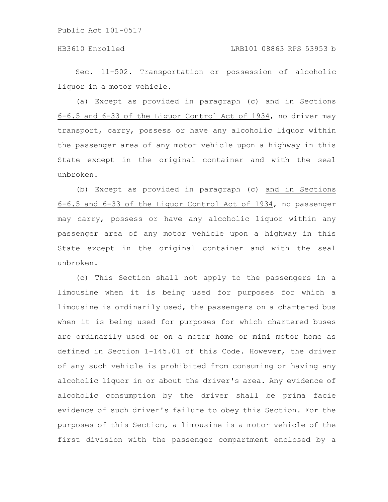# HB3610 Enrolled LRB101 08863 RPS 53953 b

Sec. 11-502. Transportation or possession of alcoholic liquor in a motor vehicle.

(a) Except as provided in paragraph (c) and in Sections 6-6.5 and 6-33 of the Liquor Control Act of 1934, no driver may transport, carry, possess or have any alcoholic liquor within the passenger area of any motor vehicle upon a highway in this State except in the original container and with the seal unbroken.

(b) Except as provided in paragraph (c) and in Sections 6-6.5 and 6-33 of the Liquor Control Act of 1934, no passenger may carry, possess or have any alcoholic liquor within any passenger area of any motor vehicle upon a highway in this State except in the original container and with the seal unbroken.

(c) This Section shall not apply to the passengers in a limousine when it is being used for purposes for which a limousine is ordinarily used, the passengers on a chartered bus when it is being used for purposes for which chartered buses are ordinarily used or on a motor home or mini motor home as defined in Section 1-145.01 of this Code. However, the driver of any such vehicle is prohibited from consuming or having any alcoholic liquor in or about the driver's area. Any evidence of alcoholic consumption by the driver shall be prima facie evidence of such driver's failure to obey this Section. For the purposes of this Section, a limousine is a motor vehicle of the first division with the passenger compartment enclosed by a